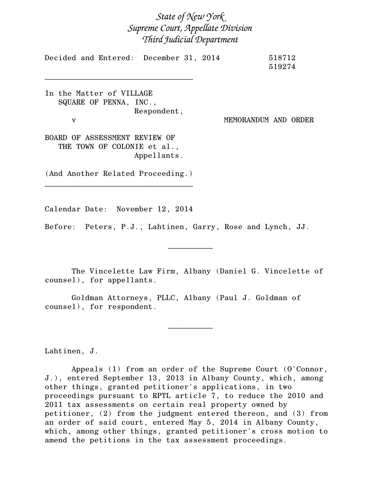## *State of New York Supreme Court, Appellate Division Third Judicial Department*

|  | Decided and Entered: December 31, 2014 |  | 518712 |
|--|----------------------------------------|--|--------|
|  |                                        |  | 519274 |

In the Matter of VILLAGE SQUARE OF PENNA, INC., Respondent, v MEMORANDUM AND ORDER

\_\_\_\_\_\_\_\_\_\_\_\_\_\_\_\_\_\_\_\_\_\_\_\_\_\_\_\_\_\_\_\_\_

BOARD OF ASSESSMENT REVIEW OF THE TOWN OF COLONIE et al., Appellants.

(And Another Related Proceeding.) \_\_\_\_\_\_\_\_\_\_\_\_\_\_\_\_\_\_\_\_\_\_\_\_\_\_\_\_\_\_\_\_\_

Calendar Date: November 12, 2014

Before: Peters, P.J., Lahtinen, Garry, Rose and Lynch, JJ.

The Vincelette Law Firm, Albany (Daniel G. Vincelette of counsel), for appellants.

 $\frac{1}{2}$ 

 $\frac{1}{2}$ 

Goldman Attorneys, PLLC, Albany (Paul J. Goldman of counsel), for respondent.

Lahtinen, J.

Appeals (1) from an order of the Supreme Court (O'Connor, J.), entered September 13, 2013 in Albany County, which, among other things, granted petitioner's applications, in two proceedings pursuant to RPTL article 7, to reduce the 2010 and 2011 tax assessments on certain real property owned by petitioner, (2) from the judgment entered thereon, and (3) from an order of said court, entered May 5, 2014 in Albany County, which, among other things, granted petitioner's cross motion to amend the petitions in the tax assessment proceedings.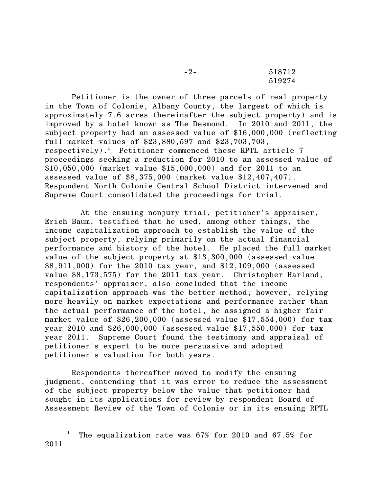| $-2-$ | 518712 |
|-------|--------|
|       | 519274 |

Petitioner is the owner of three parcels of real property in the Town of Colonie, Albany County, the largest of which is approximately 7.6 acres (hereinafter the subject property) and is improved by a hotel known as The Desmond. In 2010 and 2011, the subject property had an assessed value of \$16,000,000 (reflecting full market values of \$23,880,597 and \$23,703,703, respectively).<sup>1</sup> Petitioner commenced these RPTL article 7 proceedings seeking a reduction for 2010 to an assessed value of \$10,050,000 (market value \$15,000,000) and for 2011 to an assessed value of \$8,375,000 (market value \$12,407,407). Respondent North Colonie Central School District intervened and Supreme Court consolidated the proceedings for trial.

 At the ensuing nonjury trial, petitioner's appraiser, Erich Baum, testified that he used, among other things, the income capitalization approach to establish the value of the subject property, relying primarily on the actual financial performance and history of the hotel. He placed the full market value of the subject property at \$13,300,000 (assessed value \$8,911,000) for the 2010 tax year, and \$12,109,000 (assessed value \$8,173,575) for the 2011 tax year. Christopher Harland, respondents' appraiser, also concluded that the income capitalization approach was the better method; however, relying more heavily on market expectations and performance rather than the actual performance of the hotel, he assigned a higher fair market value of \$26,200,000 (assessed value \$17,554,000) for tax year 2010 and \$26,000,000 (assessed value \$17,550,000) for tax year 2011. Supreme Court found the testimony and appraisal of petitioner's expert to be more persuasive and adopted petitioner's valuation for both years.

Respondents thereafter moved to modify the ensuing judgment, contending that it was error to reduce the assessment of the subject property below the value that petitioner had sought in its applications for review by respondent Board of Assessment Review of the Town of Colonie or in its ensuing RPTL

The equalization rate was 67% for 2010 and 67.5% for 2011.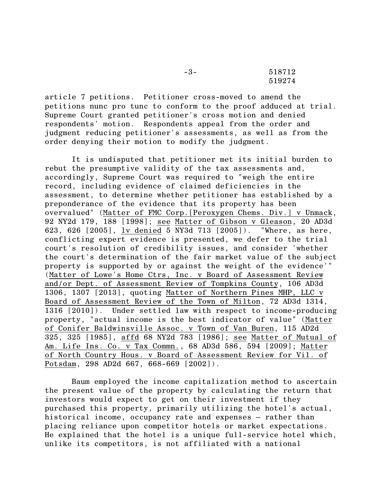-3- 518712 519274

article 7 petitions. Petitioner cross-moved to amend the petitions nunc pro tunc to conform to the proof adduced at trial. Supreme Court granted petitioner's cross motion and denied respondents' motion. Respondents appeal from the order and judgment reducing petitioner's assessments, as well as from the order denying their motion to modify the judgment.

It is undisputed that petitioner met its initial burden to rebut the presumptive validity of the tax assessments and, accordingly, Supreme Court was required to "weigh the entire record, including evidence of claimed deficiencies in the assessment, to determine whether petitioner has established by a preponderance of the evidence that its property has been overvalued" (Matter of FMC Corp.[Peroxygen Chems. Div.] v Unmack, 92 NY2d 179, 188 [1998]; see Matter of Gibson v Gleason, 20 AD3d 623, 626 [2005], lv denied 5 NY3d 713 [2005]). "Where, as here, conflicting expert evidence is presented, we defer to the trial court's resolution of credibility issues, and consider 'whether the court's determination of the fair market value of the subject property is supported by or against the weight of the evidence'" (Matter of Lowe's Home Ctrs, Inc. v Board of Assessment Review and/or Dept. of Assessment Review of Tompkins County, 106 AD3d 1306, 1307 [2013], quoting Matter of Northern Pines MHP, LLC v Board of Assessment Review of the Town of Milton, 72 AD3d 1314, 1316 [2010]). Under settled law with respect to income-producing property, "actual income is the best indicator of value" (Matter of Conifer Baldwinsville Assoc. v Town of Van Buren, 115 AD2d 325, 325 [1985], affd 68 NY2d 783 [1986]; see Matter of Mutual of Am. Life Ins. Co. v Tax Commn., 68 AD3d 586, 594 [2009]; Matter of North Country Hous. v Board of Assessment Review for Vil. of Potsdam, 298 AD2d 667, 668-669 [2002]).

Baum employed the income capitalization method to ascertain the present value of the property by calculating the return that investors would expect to get on their investment if they purchased this property, primarily utilizing the hotel's actual, historical income, occupancy rate and expenses – rather than placing reliance upon competitor hotels or market expectations. He explained that the hotel is a unique full-service hotel which, unlike its competitors, is not affiliated with a national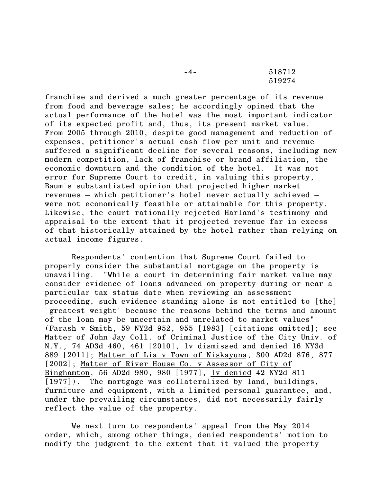-4- 518712 519274

franchise and derived a much greater percentage of its revenue from food and beverage sales; he accordingly opined that the actual performance of the hotel was the most important indicator of its expected profit and, thus, its present market value. From 2005 through 2010, despite good management and reduction of expenses, petitioner's actual cash flow per unit and revenue suffered a significant decline for several reasons, including new modern competition, lack of franchise or brand affiliation, the economic downturn and the condition of the hotel. It was not error for Supreme Court to credit, in valuing this property, Baum's substantiated opinion that projected higher market revenues – which petitioner's hotel never actually achieved – were not economically feasible or attainable for this property. Likewise, the court rationally rejected Harland's testimony and appraisal to the extent that it projected revenue far in excess of that historically attained by the hotel rather than relying on actual income figures.

Respondents' contention that Supreme Court failed to properly consider the substantial mortgage on the property is unavailing. "While a court in determining fair market value may consider evidence of loans advanced on property during or near a particular tax status date when reviewing an assessment proceeding, such evidence standing alone is not entitled to [the] 'greatest weight' because the reasons behind the terms and amount of the loan may be uncertain and unrelated to market values" (Farash v Smith, 59 NY2d 952, 955 [1983] [citations omitted]; see Matter of John Jay Coll. of Criminal Justice of the City Univ. of N.Y., 74 AD3d 460, 461 [2010], lv dismissed and denied 16 NY3d 889 [2011]; Matter of Lia v Town of Niskayuna, 300 AD2d 876, 877 [2002]; Matter of River House Co. v Assessor of City of Binghamton, 56 AD2d 980, 980 [1977], lv denied 42 NY2d 811 [1977]). The mortgage was collateralized by land, buildings, furniture and equipment, with a limited personal guarantee, and, under the prevailing circumstances, did not necessarily fairly reflect the value of the property.

We next turn to respondents' appeal from the May 2014 order, which, among other things, denied respondents' motion to modify the judgment to the extent that it valued the property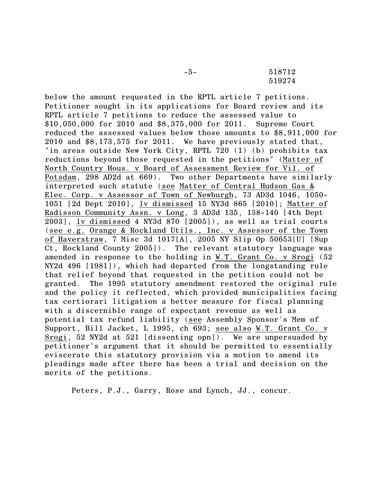-5- 518712 519274

below the amount requested in the RPTL article 7 petitions. Petitioner sought in its applications for Board review and its RPTL article 7 petitions to reduce the assessed value to \$10,050,000 for 2010 and \$8,375,000 for 2011. Supreme Court reduced the assessed values below those amounts to \$8,911,000 for 2010 and \$8,173,575 for 2011. We have previously stated that, "in areas outside New York City, RPTL 720 (1) (b) prohibits tax reductions beyond those requested in the petitions" (Matter of North Country Hous. v Board of Assessment Review for Vil. of Potsdam, 298 AD2d at 669). Two other Departments have similarly interpreted such statute (see Matter of Central Hudson Gas & Elec. Corp. v Assessor of Town of Newburgh, 73 AD3d 1046, 1050- 1051 [2d Dept 2010], lv dismissed 15 NY3d 865 [2010]; Matter of Radisson Community Assn. v Long, 3 AD3d 135, 138-140 [4th Dept 2003], lv dismissed 4 NY3d 870 [2005]), as well as trial courts (see e.g. Orange & Rockland Utils., Inc. v Assessor of the Town of Haverstraw, 7 Misc 3d 1017[A], 2005 NY Slip Op 50653[U] [Sup Ct, Rockland County 2005]). The relevant statutory language was amended in response to the holding in W.T. Grant Co. v Srogi (52 NY2d 496 [1981]), which had departed from the longstanding rule that relief beyond that requested in the petition could not be granted. The 1995 statutory amendment restored the original rule and the policy it reflected, which provided municipalities facing tax certiorari litigation a better measure for fiscal planning with a discernible range of expectant revenue as well as potential tax refund liability (see Assembly Sponsor's Mem of Support, Bill Jacket, L 1995, ch 693; see also W.T. Grant Co. v Srogi, 52 NY2d at 521 [dissenting opn]. We are unpersuaded by petitioner's argument that it should be permitted to essentially eviscerate this statutory provision via a motion to amend its pleadings made after there has been a trial and decision on the merits of the petitions.

Peters, P.J., Garry, Rose and Lynch, JJ., concur.